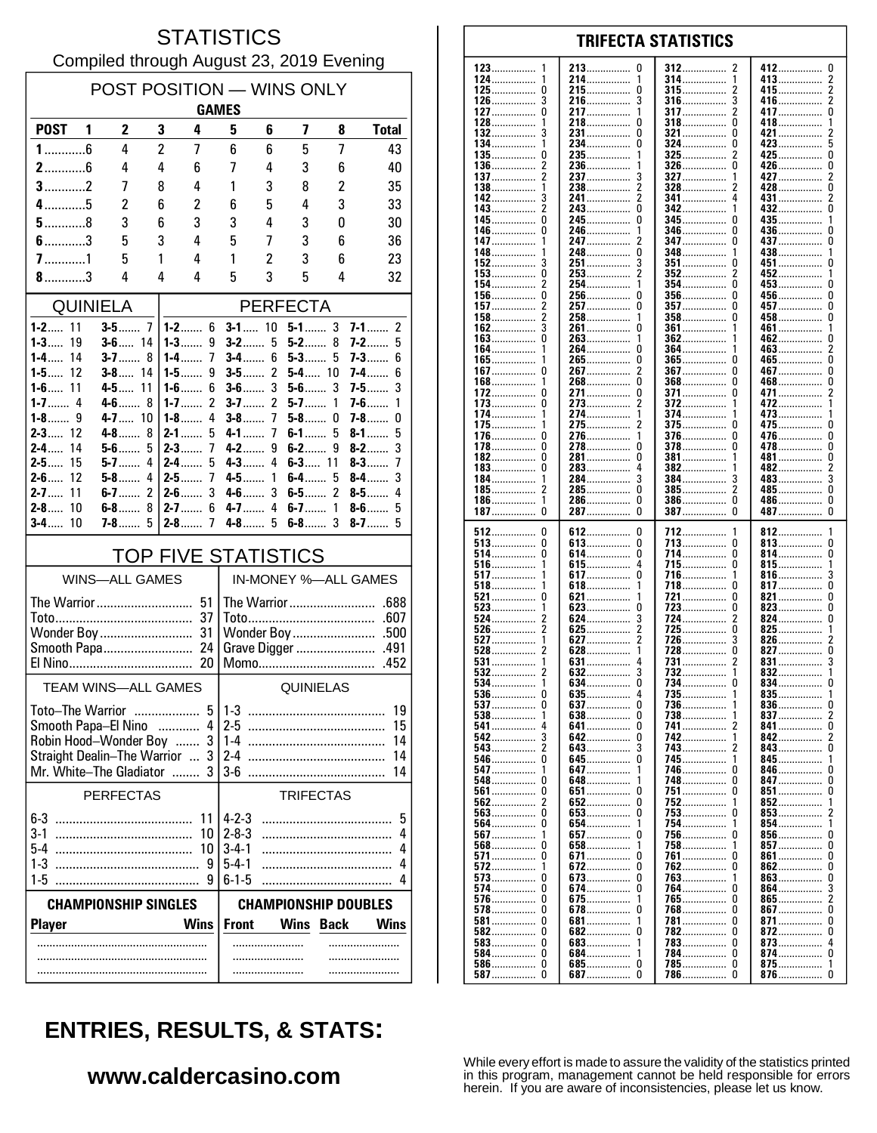## **STATISTICS** Compiled through August 23, 2019 Evening

| POST POSITION - WINS ONLY<br><b>GAMES</b>                   |                       |                |                                  |                                                                                          |                                        |                   |        |                            |  |  |
|-------------------------------------------------------------|-----------------------|----------------|----------------------------------|------------------------------------------------------------------------------------------|----------------------------------------|-------------------|--------|----------------------------|--|--|
| <b>POST</b>                                                 | 1<br>2                | 3              | 4                                | 5                                                                                        | 6                                      | 7                 | 8      | <b>Total</b>               |  |  |
| $1$ 6                                                       | 4                     | $\overline{c}$ | 7                                | 6                                                                                        | 6                                      | 5                 | 7      | 43                         |  |  |
| $2$ 6                                                       | 4                     | 4              | 6                                | 7                                                                                        | 4                                      | 3                 | 6      | 40                         |  |  |
| $3$ 2                                                       | 7                     | 8              | 4                                | 1                                                                                        | 3                                      | 8                 | 2      | 35                         |  |  |
| $4$ 5                                                       | 2                     | 6              | 2                                | 6                                                                                        | 5                                      | 4                 | 3      | 33                         |  |  |
| $5$ 8<br>$6$ 3                                              | 3<br>5                | 6<br>3         | 3<br>4                           | 3<br>5                                                                                   | 4<br>7                                 | 3<br>3            | 0<br>6 | 30<br>36                   |  |  |
|                                                             | 5                     | 1              | 4                                | 1                                                                                        | 2                                      | 3                 | 6      | 23                         |  |  |
| $8$ 3                                                       | 4                     | 4              | 4                                | 5                                                                                        | 3                                      | 5                 | 4      | 32                         |  |  |
| <b>QUINIELA</b>                                             |                       |                |                                  |                                                                                          | <b>PERFECTA</b>                        |                   |        |                            |  |  |
| 11<br>1-2……                                                 | <b>3-5</b> 7          |                | $1 - 2$ 6                        |                                                                                          | $5 - 1$ 3<br>$3-1$<br>10<br>$7-1$<br>2 |                   |        |                            |  |  |
| $1 - 3$<br>19                                               | $3 - 6$ 14            |                | $1 - 3$<br>9                     | $3-2$                                                                                    | 5                                      | $5-2$             | 8      | $7-2$<br>5                 |  |  |
| $1 - 4$<br>14<br>$1 - 5$<br>12                              | $3-7$<br>$3-8$        | 8<br>14        | $1 - 4$<br>7<br>9<br>1-5 $\dots$ | $3-4$<br>$3-5$                                                                           | 6<br>2                                 | $5-3$<br>$5-4$ 10 | 5      | $7 - 3$<br>6<br>7-4……<br>6 |  |  |
| $1 - 6$ 11                                                  | $4-5$                 | 11             | 6<br>$1-6$                       | $3-6$                                                                                    | 3                                      | $5-6$             | 3      | 3<br>7-5……                 |  |  |
| $1 - 7$<br>4                                                | $4-6$                 | 8              | 2<br>$1 - 7$                     | $3-7$                                                                                    | $\overline{2}$                         | $5-7$             | 1      | $7-6$<br>1                 |  |  |
| $1 - 8$<br>9<br>$2 - 3$<br>12                               | $4 - 7$ 10<br>$4-8$   | 8              | $1 - 8$<br>4<br>$2-1$<br>5       | $3-8$<br>$4 - 1$                                                                         | 7<br>7                                 | $5-8$<br>$6-1$    | 0<br>5 | $7 - 8$<br>0<br>8-1<br>5   |  |  |
| $2 - 4$<br>14                                               | $5-6$                 | 5              | $2-3$<br>7                       | $4 - 2$                                                                                  | 9                                      | $6-2$             | 9      | 3<br>$8-2$                 |  |  |
| $2 - 5$<br>15                                               | $5-7$                 | 4              | $2-4$<br>5                       | $4-3$                                                                                    | 4                                      | $6 - 3$ 11        |        | $8-3$<br>7                 |  |  |
| $2 - 6$<br>12<br>$2 - 7$<br>11                              | $5-8$<br>$6-7$        | 4<br>2         | $2 - 5$<br>7<br>$2-6$<br>3       | $4-5$<br>$4-6$                                                                           | 1<br>3                                 | $6-4$<br>$6-5$    | 5<br>2 | 3<br>$8-4$<br>8-5……<br>4   |  |  |
| 10<br>$2 - 8$                                               | 6-8                   | 8              | 6<br>$2 - 7$                     | $4 - 7$                                                                                  | 4                                      | $6-7$             | 1      | 5<br>$8-6$                 |  |  |
| $3-4$<br>10                                                 | <b>7-8</b>            | 5              | $2-8$<br>7                       | $4-8$                                                                                    | 5                                      | $6 - 8$ 3         |        | $8-7$<br>5                 |  |  |
| <b>TOP FIVE STATISTICS</b>                                  |                       |                |                                  |                                                                                          |                                        |                   |        |                            |  |  |
|                                                             | <b>WINS-ALL GAMES</b> |                |                                  |                                                                                          | IN-MONEY %-ALL GAMES                   |                   |        |                            |  |  |
|                                                             | The Warrior           |                | 51                               |                                                                                          | The Warrior<br>.688                    |                   |        |                            |  |  |
|                                                             |                       |                | 37                               | .607                                                                                     |                                        |                   |        |                            |  |  |
|                                                             |                       |                |                                  | Wonder Boy<br>.500<br>Grave Digger<br>.491                                               |                                        |                   |        |                            |  |  |
| Smooth Papa<br>24<br>20<br>Momo                             |                       |                |                                  |                                                                                          |                                        | .452              |        |                            |  |  |
| <b>TEAM WINS-ALL GAMES</b><br>QUINIELAS                     |                       |                |                                  |                                                                                          |                                        |                   |        |                            |  |  |
| 5<br>$1-3$<br>Toto-The Warrior                              |                       |                |                                  |                                                                                          |                                        | 19                |        |                            |  |  |
|                                                             |                       |                | Smooth Papa-El Nino  4           | $2 - 5$                                                                                  |                                        |                   |        | 15                         |  |  |
| Robin Hood-Wonder Boy                                       |                       |                | 3                                | $1 - 4$                                                                                  |                                        |                   |        | 14                         |  |  |
| Straight Dealin-The Warrior<br>Mr. White-The Gladiator      |                       |                | 3<br>$\ldots$                    | $2-4$<br>$3-6$                                                                           |                                        |                   |        | 14<br>14                   |  |  |
|                                                             | <b>PERFECTAS</b>      |                |                                  |                                                                                          |                                        | <b>TRIFECTAS</b>  |        |                            |  |  |
|                                                             |                       |                |                                  | $4 - 2 - 3$                                                                              |                                        |                   |        | 5                          |  |  |
| 3-1                                                         |                       |                | 11<br>10                         | $2 - 8 - 3$                                                                              |                                        |                   |        | 4                          |  |  |
| 5-4                                                         |                       |                | 10                               | $3 - 4 - 1$                                                                              |                                        |                   |        | 4                          |  |  |
| 1-3<br>$1-5$                                                |                       |                | 9                                | $5-4-1$<br>$6 - 1 - 5$                                                                   |                                        |                   |        | 4<br>4                     |  |  |
|                                                             |                       |                |                                  |                                                                                          |                                        |                   |        |                            |  |  |
| <b>CHAMPIONSHIP SINGLES</b><br><b>Wins</b><br><b>Player</b> |                       |                |                                  | <b>CHAMPIONSHIP DOUBLES</b><br><b>Wins</b><br><b>Back</b><br><b>Wins</b><br><b>Front</b> |                                        |                   |        |                            |  |  |
|                                                             |                       |                |                                  |                                                                                          | .                                      |                   |        |                            |  |  |
|                                                             |                       |                |                                  |                                                                                          |                                        |                   | .      |                            |  |  |
|                                                             |                       |                |                                  |                                                                                          |                                        |                   |        |                            |  |  |

#### 123 213  $\Omega$ 412  $\mathbf{0}$ 312 124 214 314 413  $\overline{1}$  $\frac{2}{2}$ -1 . . . . . . . . . . . . . . . . . . . . . . . . . . . . . . . . . . . . . . . . . . . .  $\pmb{0}$  $\pmb{0}$  $\overline{\mathbf{c}}$ 125 215 315 415. . . . . . . . . . . . . . . ............... . . . . . . . . . . . . . . . . . . . . . . . . . . . . . . . 126 3 216 3 316 3 416 . . . . . . . . . . . . . . . .............. . . . . . . . . . . . . . . .  $\pmb{0}$ 127 0 217  $\mathbf{1}$ 317 2 417 . . . . . . . . . . . . . . . . . . . . . . . . . . . . . . . . . . . . . 128 218  $\Omega$ 318  $\Omega$ 418  $\overline{1}$ 132 231................  $\Omega$ 321.................  $\Omega$  $421...$ З  $\pmb{0}$ 5 134 234. 324 0 423 . . . . . . . . . . . . . . . 135  $\mathbf{0}$ 235. 325 425  $\mathbf 0$  $\overline{2}$ 236 326 ŋ 426  $\pmb{0}$ 136 . . . . . . . . . . . . . . . . . . . . . . . . . . . . . . . . . . . . . . . . . . . . . . 137  $\overline{2}$ 237 ્ર 327 427  $\overline{2}$ 1 . . . . . . . . . . . . . . 138 238  $\overline{\phantom{a}}$ 328 428  $\Omega$ 1 . . . . . . . . . . .  $\overline{2}$ 142 241................  $\overline{2}$ 341 3 431  $143.$  $\bar{2}$  $\bar{0}$  $342$  $432$ ....... ō . . . . . . . . . . . Ō  $\mathbf{0}$ 245 345 435. 145 <sup>0</sup> -1 346 0 436 146 246  $\frac{1}{2}$ . . . . . . . . . . . . . . . . . . . . . . . . . . . . . . . . . . . . . . . . . . 147 247 347  $\Omega$ 437  $\Omega$ . . . . . . . . . . . . . . . . . . . . . . . . . . . . . . . . . . . . . . . . . . 148 248  $\pmb{0}$ 348 438 1 . . . . . . . . . . . . . . . .............. . . . . . . . . 152 3 251 3 351 451 0 n ........... . . . . . . . . . . . . . . 153  $\Omega$ 253  $\mathcal{P}$ 352 2 452  $\mathbf{1}$  $\overline{2}$  $\Omega$ 154 254  $\Omega$  $453...$ 1 354 156.  $\mathbf 0$  $\mathbf 0$  $\mathbf 0$ 256 356  $\Omega$  $456...$ ŏ 157 257.  $\Omega$ 357 457  $\overline{c}$ . . . . . . . . . . . . . . . . . . . . . . . . . . . . . 458...............  $\overline{c}$  $\pmb{0}$ 158 258 358  $\Omega$ . . . . . . . . . . . . . . . . .............. . . . . . . . . . . . . . . . . 162  $\overline{\mathbf{3}}$ 261  $\Omega$ 361 461  $\overline{1}$ . . . . . . . . . . . . . . . . . . . . . . . . . . . . . 163  $\Omega$ 263 362 462  $\Omega$  $\mathbf{1}$ . . . . . . . . . . . . . . . . . . . . . . . . . .  $\dot{0}$  $\frac{5}{2}$ 164 264 364 1 463. 265.................. ō 165................ Ō 365.................  $465$  $\Omega$  $\mathbf 0$  $\overline{2}$  $\mathbf{0}$  $\mathbf 0$ 267 367  $467...$ 167. . . . . . . . . . . . . . . . . . . . . . . . .  $\overline{0}$ Ō Ō 168 268 368 468 . . . . . . . . . . . . . . . . . . . . . . . . . . . . . . . . . . . . . . . . . . . 172  $\mathbf 0$ 271.  $\pmb{0}$ 371................ 0 471......  $\boldsymbol{2}$ . . . . . . . . . . . . . . . . . . . . . . . . . . 273  $\overline{2}$ 372 173 0 472 . . . . . . . . . . . . . . . . . . . . . . . . . . . . . . . . . . . . . . . . . . . . . 174 274 374 473 1 . . . . . . . . . . . . . . . . . . . . . . . . . . . . . . . . . . . . . . . . . . . 175 275 2 375 <sup>0</sup> 475  $\Omega$ . . . . . . . . . . . . . . . . . . . . . . . . . . . 376  $\Omega$ 176 -0 276.  $\mathbf{1}$  $\Omega$ 476.  $\dot{0}$ ŏ  $\Omega$ 278................  $\Omega$ 478 178. 378 182  $\Omega$ 281  $\Omega$ 381  $\pmb{0}$ 481 . . . . . . . . . . . . . . . ............... . . . . . . . . . . . . . .  $\sqrt{2}$ 183 0 283 4 382 482 . . . . . . . . . . . . . . . . . . . . . . . . . . . . . . . . . . . . . . . . . . . . .....  $\bar{3}$ 184 284  $\overline{3}$ 384 483 3 . . . . . . . . . . . . . . . . . . . . . . . . . . . . . . . . . . . . . . . . . . . . . ....... 185  $\overline{2}$ 285  $\Omega$ 385 2 485  $\Omega$ . . . . . . . . . . . . . . . . . . . . . . . . . . . . . . . . . . . . . . . . . . . . . . . . . . . . . . . . . . . 186  $\mathbf{1}$ 286.  $\Omega$ 386  $\Omega$ 486................  $\Omega$ . . . . . . . . . . . . . . . . . . . . . . . . . . . . . . . . . . . . . . . . . . . . .  $\dot{0}$  $\tilde{0}$  $\tilde{0}$  $\Omega$ 187 287................ 387 387 512  $\mathbf 0$ 612  $\pmb{0}$ 712 812 . . . . . . . . . . . . . . . . . . . . . . . 513  $\pmb{0}$ 613................  $\pmb{0}$  $\Omega$  $\pmb{0}$ 713 813 . . . . . . . . . . . . . . . . . . . . . . . . . . . . . . . . ............... 514 0 614 0 714  $\Omega$ 814 0 . . . . . . . . . . . . . . . . . . . . . . . . . . . . . . . . . . . . . . . . . . . . . . . . . . . . . . . . . . . . 516 615  $\begin{smallmatrix} 4 \\ 0 \end{smallmatrix}$ 715  $\Omega$ 815  $\mathbf{1}$ -1 . . . . . . . . . . . . . . . . . . . . . . . . . . . . . . . . . . . . . . 517. 3 617... 716. 1 816. ŏ  $817$ .......  $618$ ................ 718  $\Omega$  $\mathbf{1}$ 521  $\pmb{0}$  $\theta$ 821  $\pmb{0}$ 621 721 . . . . . . . . . . . . . . . . . . . . . .  $823$ 523 623 723 O  $\pmb{0}$ 0 . . . . . . . . . . . . . . . . . . . . . . . . . . . . . . . . . . . . . . . . . . . . . . . . . . . . 524  $\overline{\phantom{a}}$ 624 3 724 2 824  $\Omega$ . . . . . . . . . . . . . . . . . . . . . . . . . . . . . . . . . . . . . . . . . .  $725.726$ 526  $\overline{\phantom{a}}$ 625 2  $\Omega$ 825 1 . . . . . . . . . . . . . . . . . . . . . . . . . . . . 627  $\overline{\phantom{a}}$ 527 1 3 826 528  $\dot{2}$  $628$  $728$ Ō ō  $827$ 531 631 731 831 . . . . . . . . . . . . . . . . . . . . . . . . . . . . . . 532  $\overline{3}$  $\overline{2}$ 632 832 . . . . . . . . . . . . . . . . . . . . . . . . . . . . . . 534 634. 0 734 834......  $\mathbf 0$ . . . . . . . . . . . . . . . . . . . . . . . . . . . . . . 635 735 536 0  $\begin{smallmatrix} 4 \\ 0 \end{smallmatrix}$ 835  $\frac{1}{0}$ . . . . . . . . . . . . . . . . . . . . . . . . . . . . . . . . . . . . . . . . . . . . . . . . . . . . . . . . . . . . 537  $\Omega$ 637 736 836  $\mathbf{1}$ 738 837 538 1 638 0 2 . . . . . . . . . . . . . . . . . . . . .  $\overline{0}$ 641............... 541 0 741 841 542 3 642.  $\Omega$ 742. 842......  $\overline{2}$ . . . . . . . . . . . . . . . . . . . . . . . . . . . . . ō 543.  $\overline{\phantom{a}}$ 3 743 643 843 . . . . . . . . . . ............. 546  $\mathbf 0$ 645.  $\mathbf 0$ 745 845 . . . . . . . . . . . . . . . . . . . . . . . . . . . . . . . . . . . . . . . . . . . . . 547 647 746 846  $\mathbf{0}$  $\Omega$ . . . . . . . . . . . . . . . . . . . . . . . . . . . . . . . . . . . . . . . . . . . . 548  $\Omega$ 648 748  $\Omega$ 847  $\Omega$ . . . . . . . . . . . . . . . . . . . . . . . . . . . . 561  $\Omega$ 651  $\Omega$ 751  $\Omega$ 851.  $\Omega$ . . . . . . . . . . . .  $\overline{2}$  $\Omega$ 852 562 652 752  $\mathbf{1}$  $563.$  $\bar{0}$ 653.................  $\overline{0}$  $753$ 853 . . . . . . . . . . . . . . . 564 Ō 654 754 854 . . . . . . . . . . . . . . . . . . . . . . . . . . . . 856......... 567 657  $\overline{0}$ 756  $\Omega$ ŋ . . . . . . . . . . . . . . . . . . . . . . . . . . . . . . 568  $\Omega$ 658 1 758 1 857  $\Omega$ . . . . . . . . . . . . . . . . . . . . . . . . . . . 571 0 671  $\mathbf 0$ 761 n 861  $\mathbf{0}$ . . . . . . . . . . . . . . . . . . . . . . . . . . . . . . 572 672 0 762 <sup>0</sup> 862 0 -1 . . . . . . . . . . . . . . . . . . . . . . . . . 573  $\Omega$ 673  $\Omega$ 763 863  $\Omega$ 1 š 574 0 674.  $\mathbf 0$ 764  $864$ ...... n  $\overline{2}$ 576  $\pmb{0}$ 675 765  $\pmb{0}$  $865$ ........ . . . . . . . . . . . . . . . . . . . . . . . . . . . -1 . . . . . . . . . . . . . 578  $\Omega$ 678  $\mathbf 0$ 768  $\theta$  $867$  $\mathbf 0$ . . . . . . . . . . . . . . . . . . . . . . . . . . . . . .  $581$ ................  $\pmb{0}$ 681 781  $\theta$ 871  $\pmb{0}$ . . . . . . . . . . . . . . . . . . . . . . . . . . . . . . . . . . . . . . . . . . . . . . . 582  $\Omega$ 682  $\Omega$ 782  $\Omega$ 872  $\Omega$ . . . . . . . . . . . . . . . . . . . . . . . . . . . . 583  $\Omega$ 683 783  $\Omega$ 873  $\overline{4}$  $\mathbf{1}$ . . . . . . . . . . . . . . . . . . . . . . . . . . . . . . . . . . . . . . . . . . . . . . . ó 584................  $\Omega$ 684................ 784.  $\Omega$ 874................

# **ENTRIES, RESULTS, & STATS:**

### www.caldercasino.com

While every effort is made to assure the validity of the statistics printed in this program, management cannot be held responsible for errors herein. If you are aware of inconsistencies, please let us know.

-1

 $\mathbf 0$ 

 $\Omega$ 

 $785$ ................

786

 $\Omega$ 

 $\Omega$ 

875................

876................

 $\mathbf{1}$ 

 $\Omega$ 

685...............

687.

586...............

587

 $\mathbf 0$ 

 $\pmb{0}$ 

#### **TRIFECTA STATISTICS**